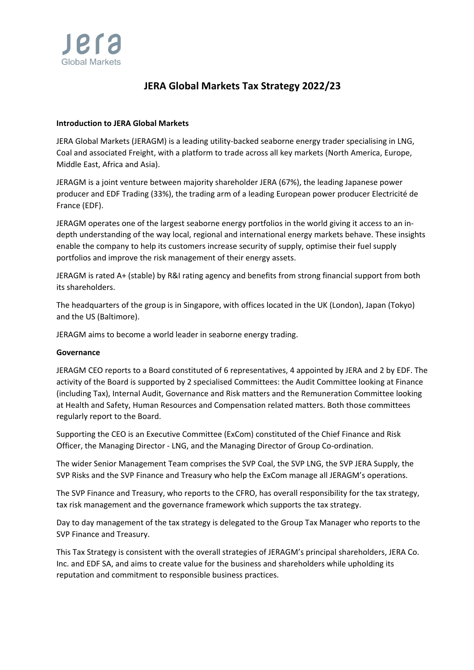

# **JERA Global Markets Tax Strategy 2022/23**

# **Introduction to JERA Global Markets**

JERA Global Markets (JERAGM) is a leading utility‐backed seaborne energy trader specialising in LNG, Coal and associated Freight, with a platform to trade across all key markets (North America, Europe, Middle East, Africa and Asia).

JERAGM is a joint venture between majority shareholder JERA (67%), the leading Japanese power producer and EDF Trading (33%), the trading arm of a leading European power producer Electricité de France (EDF).

JERAGM operates one of the largest seaborne energy portfolios in the world giving it access to an in‐ depth understanding of the way local, regional and international energy markets behave. These insights enable the company to help its customers increase security of supply, optimise their fuel supply portfolios and improve the risk management of their energy assets.

JERAGM is rated A+ (stable) by R&I rating agency and benefits from strong financial support from both its shareholders.

The headquarters of the group is in Singapore, with offices located in the UK (London), Japan (Tokyo) and the US (Baltimore).

JERAGM aims to become a world leader in seaborne energy trading.

## **Governance**

JERAGM CEO reports to a Board constituted of 6 representatives, 4 appointed by JERA and 2 by EDF. The activity of the Board is supported by 2 specialised Committees: the Audit Committee looking at Finance (including Tax), Internal Audit, Governance and Risk matters and the Remuneration Committee looking at Health and Safety, Human Resources and Compensation related matters. Both those committees regularly report to the Board.

Supporting the CEO is an Executive Committee (ExCom) constituted of the Chief Finance and Risk Officer, the Managing Director ‐ LNG, and the Managing Director of Group Co‐ordination.

The wider Senior Management Team comprises the SVP Coal, the SVP LNG, the SVP JERA Supply, the SVP Risks and the SVP Finance and Treasury who help the ExCom manage all JERAGM's operations.

The SVP Finance and Treasury, who reports to the CFRO, has overall responsibility for the tax strategy, tax risk management and the governance framework which supports the tax strategy.

Day to day management of the tax strategy is delegated to the Group Tax Manager who reports to the SVP Finance and Treasury.

This Tax Strategy is consistent with the overall strategies of JERAGM's principal shareholders, JERA Co. Inc. and EDF SA, and aims to create value for the business and shareholders while upholding its reputation and commitment to responsible business practices.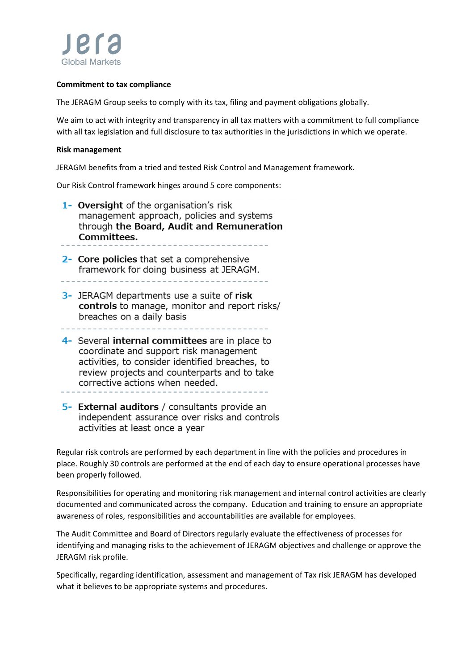

## **Commitment to tax compliance**

The JERAGM Group seeks to comply with its tax, filing and payment obligations globally.

We aim to act with integrity and transparency in all tax matters with a commitment to full compliance with all tax legislation and full disclosure to tax authorities in the jurisdictions in which we operate.

#### **Risk management**

JERAGM benefits from a tried and tested Risk Control and Management framework.

Our Risk Control framework hinges around 5 core components:

- 1- Oversight of the organisation's risk management approach, policies and systems through the Board, Audit and Remuneration Committees.
- 2- Core policies that set a comprehensive framework for doing business at JERAGM.

- 3- JERAGM departments use a suite of risk controls to manage, monitor and report risks/ breaches on a daily basis
- 
- 4- Several internal committees are in place to coordinate and support risk management activities, to consider identified breaches, to review projects and counterparts and to take corrective actions when needed.
- 5- External auditors / consultants provide an independent assurance over risks and controls activities at least once a year

Regular risk controls are performed by each department in line with the policies and procedures in place. Roughly 30 controls are performed at the end of each day to ensure operational processes have been properly followed.

Responsibilities for operating and monitoring risk management and internal control activities are clearly documented and communicated across the company. Education and training to ensure an appropriate awareness of roles, responsibilities and accountabilities are available for employees.

The Audit Committee and Board of Directors regularly evaluate the effectiveness of processes for identifying and managing risks to the achievement of JERAGM objectives and challenge or approve the JERAGM risk profile.

Specifically, regarding identification, assessment and management of Tax risk JERAGM has developed what it believes to be appropriate systems and procedures.